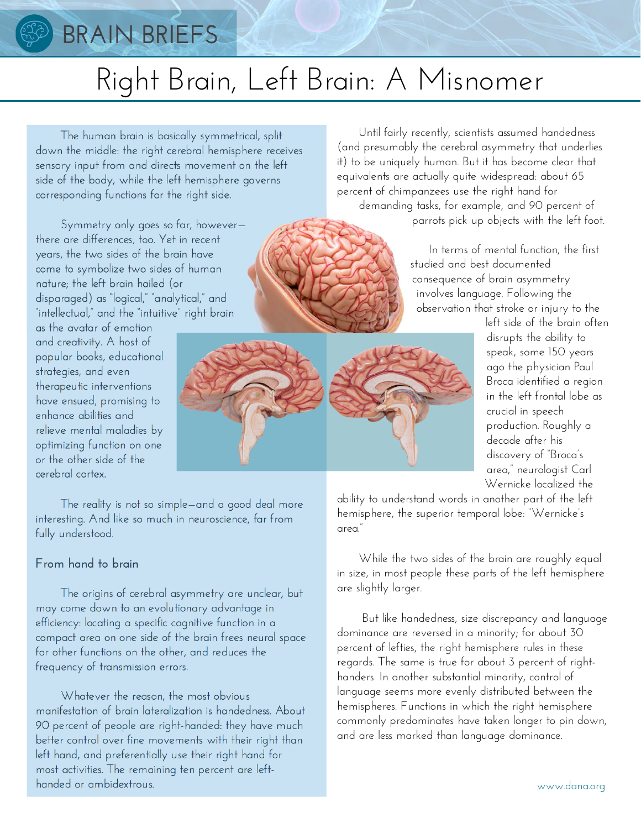

## **BRAIN BRIEFS**

# Right Brain, Left Brain: A Misnomer

 The human brain is basically symmetrical, split down the middle: the right cerebral hemisphere receives sensory input from and directs movement on the left side of the body, while the left hemisphere governs corresponding functions for the right side.

 Symmetry only goes so far, however there are differences, too. Yet in recent years, the two sides of the brain have come to symbolize two sides of human nature; the left brain hailed (or disparaged) as "logical," "analytical," and "intellectual," and the "intuitive" right brain

as the avatar of emotion and creativity. A host of popular books, educational strategies, and even therapeutic interventions have ensued, promising to enhance abilities and relieve mental maladies by optimizing function on one or the other side of the cerebral cortex.

 The reality is not so simple—and a good deal more interesting. And like so much in neuroscience, far from fully understood.

#### **From hand to brain**

The origins of cerebral asymmetry are unclear, but may come down to an evolutionary advantage in efficiency: locating a specific cognitive function in a compact area on one side of the brain frees neural space for other functions on the other, and reduces the frequency of transmission errors.

 Whatever the reason, the most obvious manifestation of brain lateralization is handedness. About 90 percent of people are right-handed: they have much better control over fine movements with their right than left hand, and preferentially use their right hand for most activities. The remaining ten percent are lefthanded or ambidextrous.

 Until fairly recently, scientists assumed handedness (and presumably the cerebral asymmetry that underlies it) to be uniquely human. But it has become clear that equivalents are actually quite widespread: about 65 percent of chimpanzees use the right hand for demanding tasks, for example, and 90 percent of

parrots pick up objects with the left foot.

 In terms of mental function, the first studied and best documented consequence of brain asymmetry involves language. Following the observation that stroke or injury to the

left side of the brain often disrupts the ability to speak, some 150 years ago the physician Paul Broca identified a region in the left frontal lobe as crucial in speech production. Roughly a decade after his discovery of "Broca's area," neurologist Carl Wernicke localized the

ability to understand words in another part of the left hemisphere, the superior temporal lobe: "Wernicke's area."

 While the two sides of the brain are roughly equal in size, in most people these parts of the left hemisphere are slightly larger.

 But like handedness, size discrepancy and language dominance are reversed in a minority; for about 30 percent of lefties, the right hemisphere rules in these regards. The same is true for about 3 percent of righthanders. In another substantial minority, control of language seems more evenly distributed between the hemispheres. Functions in which the right hemisphere commonly predominates have taken longer to pin down, and are less marked than language dominance.